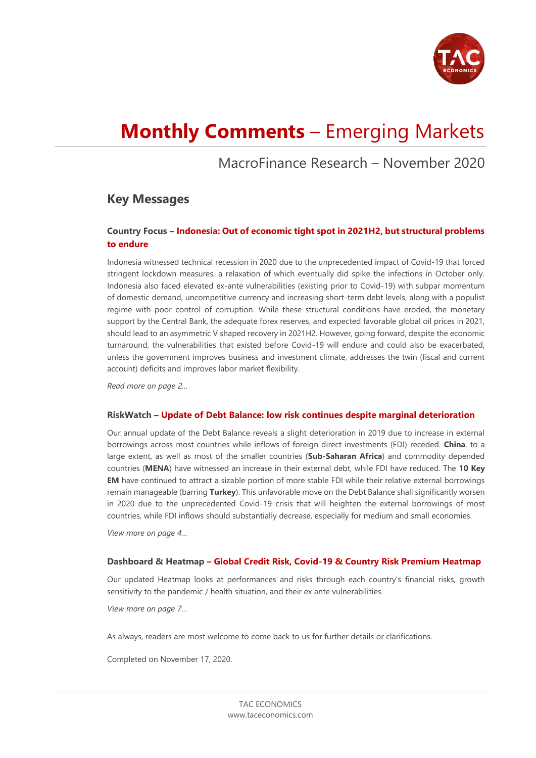

# **Monthly Comments** – Emerging Markets

# MacroFinance Research – November 2020

## **Key Messages**

### **Country Focus – Indonesia: Out of economic tight spot in 2021H2, but structural problems to endure**

Indonesia witnessed technical recession in 2020 due to the unprecedented impact of Covid-19 that forced stringent lockdown measures, a relaxation of which eventually did spike the infections in October only. Indonesia also faced elevated ex-ante vulnerabilities (existing prior to Covid-19) with subpar momentum of domestic demand, uncompetitive currency and increasing short-term debt levels, along with a populist regime with poor control of corruption. While these structural conditions have eroded, the monetary support by the Central Bank, the adequate forex reserves, and expected favorable global oil prices in 2021, should lead to an asymmetric V shaped recovery in 2021H2. However, going forward, despite the economic turnaround, the vulnerabilities that existed before Covid-19 will endure and could also be exacerbated, unless the government improves business and investment climate, addresses the twin (fiscal and current account) deficits and improves labor market flexibility.

*Read more on page 2…*

#### **RiskWatch – Update of Debt Balance: low risk continues despite marginal deterioration**

Our annual update of the Debt Balance reveals a slight deterioration in 2019 due to increase in external borrowings across most countries while inflows of foreign direct investments (FDI) receded. **China**, to a large extent, as well as most of the smaller countries (**Sub-Saharan Africa**) and commodity depended countries (**MENA**) have witnessed an increase in their external debt, while FDI have reduced. The **10 Key EM** have continued to attract a sizable portion of more stable FDI while their relative external borrowings remain manageable (barring **Turkey**). This unfavorable move on the Debt Balance shall significantly worsen in 2020 due to the unprecedented Covid-19 crisis that will heighten the external borrowings of most countries, while FDI inflows should substantially decrease, especially for medium and small economies.

*View more on page 4…*

#### **Dashboard & Heatmap – Global Credit Risk, Covid-19 & Country Risk Premium Heatmap**

Our updated Heatmap looks at performances and risks through each country's financial risks, growth sensitivity to the pandemic / health situation, and their ex ante vulnerabilities.

*View more on page 7…*

As always, readers are most welcome to come back to us for further details or clarifications.

Completed on November 17, 2020.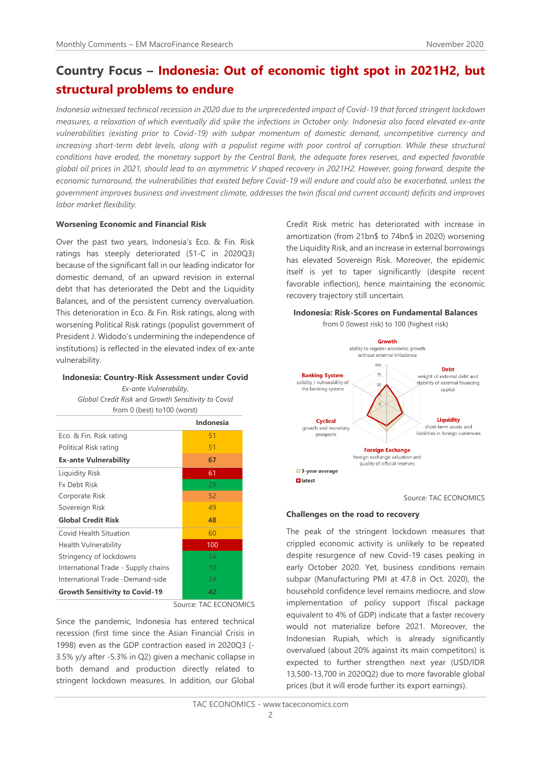# **Country Focus – Indonesia: Out of economic tight spot in 2021H2, but structural problems to endure**

*Indonesia witnessed technical recession in 2020 due to the unprecedented impact of Covid-19 that forced stringent lockdown measures, a relaxation of which eventually did spike the infections in October only. Indonesia also faced elevated ex-ante vulnerabilities (existing prior to Covid-19) with subpar momentum of domestic demand, uncompetitive currency and increasing short-term debt levels, along with a populist regime with poor control of corruption. While these structural conditions have eroded, the monetary support by the Central Bank, the adequate forex reserves, and expected favorable global oil prices in 2021, should lead to an asymmetric V shaped recovery in 2021H2. However, going forward, despite the economic turnaround, the vulnerabilities that existed before Covid-19 will endure and could also be exacerbated, unless the government improves business and investment climate, addresses the twin (fiscal and current account) deficits and improves labor market flexibility.*

#### **Worsening Economic and Financial Risk**

Over the past two years, Indonesia's Eco. & Fin. Risk ratings has steeply deteriorated (51-C in 2020Q3) because of the significant fall in our leading indicator for domestic demand, of an upward revision in external debt that has deteriorated the Debt and the Liquidity Balances, and of the persistent currency overvaluation. This deterioration in Eco. & Fin. Risk ratings, along with worsening Political Risk ratings (populist government of President J. Widodo's undermining the independence of institutions) is reflected in the elevated index of ex-ante vulnerability.

#### **Indonesia: Country-Risk Assessment under Covid**

*Ex-ante Vulnerability*, *Global Credit Risk* and *Growth Sensitivity to Covid* from 0 (best) to100 (worst)

|                                       | Indonesia |
|---------------------------------------|-----------|
| Eco. & Fin. Risk rating               | 51        |
| Political Risk rating                 | 51        |
| <b>Ex-ante Vulnerability</b>          | 67        |
| <b>Liquidity Risk</b>                 | 61        |
| <b>Fx Debt Risk</b>                   | 29        |
| Corporate Risk                        | 52        |
| Sovereign Risk                        | 49        |
| <b>Global Credit Risk</b>             | 48        |
| Covid Health Situation                | 60        |
| <b>Health Vulnerability</b>           | 100       |
| Stringency of lockdowns               | 34        |
| International Trade - Supply chains   | 30        |
| International Trade -Demand-side      | 34        |
| <b>Growth Sensitivity to Covid-19</b> | 42        |

Source: TAC ECONOMICS

Since the pandemic, Indonesia has entered technical recession (first time since the Asian Financial Crisis in 1998) even as the GDP contraction eased in 2020Q3 (- 3.5% y/y after -5.3% in Q2) given a mechanic collapse in both demand and production directly related to stringent lockdown measures. In addition, our Global Credit Risk metric has deteriorated with increase in amortization (from 21bn\$ to 74bn\$ in 2020) worsening the Liquidity Risk, and an increase in external borrowings has elevated Sovereign Risk. Moreover, the epidemic itself is yet to taper significantly (despite recent favorable inflection), hence maintaining the economic recovery trajectory still uncertain.

**Indonesia: Risk-Scores on Fundamental Balances**





Source: TAC ECONOMICS

#### **Challenges on the road to recovery**

The peak of the stringent lockdown measures that crippled economic activity is unlikely to be repeated despite resurgence of new Covid-19 cases peaking in early October 2020. Yet, business conditions remain subpar (Manufacturing PMI at 47.8 in Oct. 2020), the household confidence level remains mediocre, and slow implementation of policy support (fiscal package equivalent to 4% of GDP) indicate that a faster recovery would not materialize before 2021. Moreover, the Indonesian Rupiah, which is already significantly overvalued (about 20% against its main competitors) is expected to further strengthen next year (USD/IDR 13,500-13,700 in 2020Q2) due to more favorable global prices (but it will erode further its export earnings).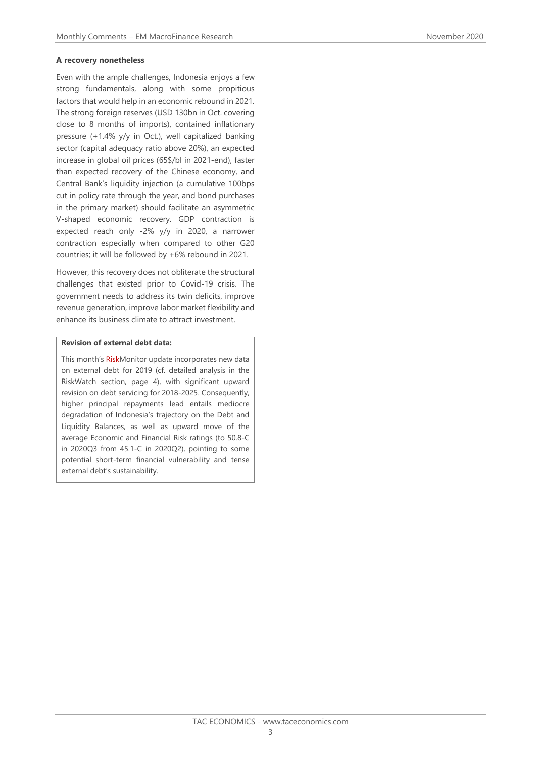#### **A recovery nonetheless**

Even with the ample challenges, Indonesia enjoys a few strong fundamentals, along with some propitious factors that would help in an economic rebound in 2021. The strong foreign reserves (USD 130bn in Oct. covering close to 8 months of imports), contained inflationary pressure (+1.4% y/y in Oct.), well capitalized banking sector (capital adequacy ratio above 20%), an expected increase in global oil prices (65\$/bl in 2021-end), faster than expected recovery of the Chinese economy, and Central Bank's liquidity injection (a cumulative 100bps cut in policy rate through the year, and bond purchases in the primary market) should facilitate an asymmetric V-shaped economic recovery. GDP contraction is expected reach only -2% y/y in 2020, a narrower contraction especially when compared to other G20 countries; it will be followed by +6% rebound in 2021.

However, this recovery does not obliterate the structural challenges that existed prior to Covid-19 crisis. The government needs to address its twin deficits, improve revenue generation, improve labor market flexibility and enhance its business climate to attract investment.

#### **Revision of external debt data:**

This month's RiskMonitor update incorporates new data on external debt for 2019 (cf. detailed analysis in the RiskWatch section, page 4), with significant upward revision on debt servicing for 2018-2025. Consequently, higher principal repayments lead entails mediocre degradation of Indonesia's trajectory on the Debt and Liquidity Balances, as well as upward move of the average Economic and Financial Risk ratings (to 50.8-C in 2020Q3 from 45.1-C in 2020Q2), pointing to some potential short-term financial vulnerability and tense external debt's sustainability.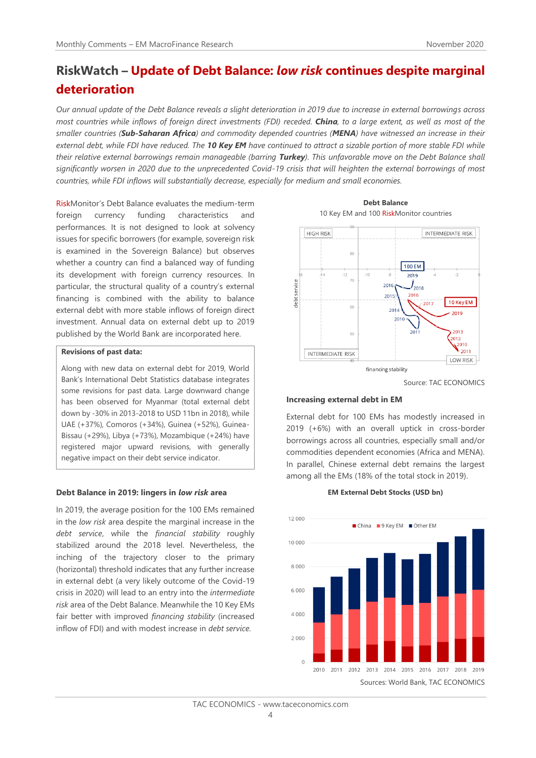# **RiskWatch – Update of Debt Balance:** *low risk* **continues despite marginal deterioration**

*Our annual update of the Debt Balance reveals a slight deterioration in 2019 due to increase in external borrowings across most countries while inflows of foreign direct investments (FDI) receded. China, to a large extent, as well as most of the smaller countries (Sub-Saharan Africa) and commodity depended countries (MENA) have witnessed an increase in their external debt, while FDI have reduced. The 10 Key EM have continued to attract a sizable portion of more stable FDI while their relative external borrowings remain manageable (barring Turkey). This unfavorable move on the Debt Balance shall significantly worsen in 2020 due to the unprecedented Covid-19 crisis that will heighten the external borrowings of most countries, while FDI inflows will substantially decrease, especially for medium and small economies.* 

RiskMonitor's Debt Balance evaluates the medium-term foreign currency funding characteristics and performances. It is not designed to look at solvency issues for specific borrowers (for example, sovereign risk is examined in the Sovereign Balance) but observes whether a country can find a balanced way of funding its development with foreign currency resources. In particular, the structural quality of a country's external financing is combined with the ability to balance external debt with more stable inflows of foreign direct investment. Annual data on external debt up to 2019 published by the World Bank are incorporated here.

#### **Revisions of past data:**

Along with new data on external debt for 2019, World Bank's International Debt Statistics database integrates some revisions for past data. Large downward change has been observed for Myanmar (total external debt down by -30% in 2013-2018 to USD 11bn in 2018), while UAE (+37%), Comoros (+34%), Guinea (+52%), Guinea-Bissau (+29%), Libya (+73%), Mozambique (+24%) have registered major upward revisions, with generally negative impact on their debt service indicator.

#### **Debt Balance in 2019: lingers in** *low risk* **area**

In 2019, the average position for the 100 EMs remained in the *low risk* area despite the marginal increase in the *debt service*, while the *financial stability* roughly stabilized around the 2018 level. Nevertheless, the inching of the trajectory closer to the primary (horizontal) threshold indicates that any further increase in external debt (a very likely outcome of the Covid-19 crisis in 2020) will lead to an entry into the *intermediate risk* area of the Debt Balance. Meanwhile the 10 Key EMs fair better with improved *financing stability* (increased inflow of FDI) and with modest increase in *debt service.*





Source: TAC ECONOMICS

#### **Increasing external debt in EM**

External debt for 100 EMs has modestly increased in 2019 (+6%) with an overall uptick in cross-border borrowings across all countries, especially small and/or commodities dependent economies (Africa and MENA). In parallel, Chinese external debt remains the largest among all the EMs (18% of the total stock in 2019).

**EM External Debt Stocks (USD bn)**

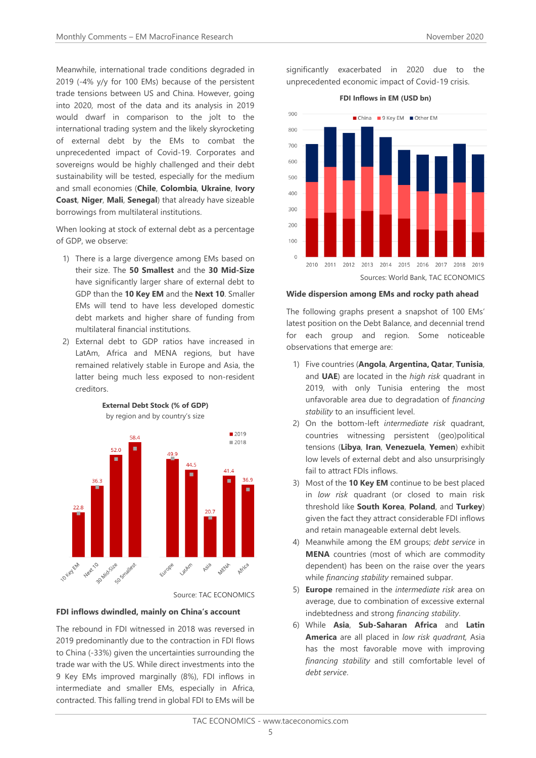Meanwhile, international trade conditions degraded in 2019 (-4% y/y for 100 EMs) because of the persistent trade tensions between US and China. However, going into 2020, most of the data and its analysis in 2019 would dwarf in comparison to the jolt to the international trading system and the likely skyrocketing of external debt by the EMs to combat the unprecedented impact of Covid-19. Corporates and sovereigns would be highly challenged and their debt sustainability will be tested, especially for the medium and small economies (**Chile**, **Colombia**, **Ukraine**, **Ivory Coast**, **Niger**, **Mali**, **Senegal**) that already have sizeable borrowings from multilateral institutions.

When looking at stock of external debt as a percentage of GDP, we observe:

- 1) There is a large divergence among EMs based on their size. The **50 Smallest** and the **30 Mid-Size** have significantly larger share of external debt to GDP than the **10 Key EM** and the **Next 10**. Smaller EMs will tend to have less developed domestic debt markets and higher share of funding from multilateral financial institutions.
- 2) External debt to GDP ratios have increased in LatAm, Africa and MENA regions, but have remained relatively stable in Europe and Asia, the latter being much less exposed to non-resident creditors.



#### **External Debt Stock (% of GDP)** by region and by country's size

Source: TAC ECONOMICS

#### **FDI inflows dwindled, mainly on China's account**

The rebound in FDI witnessed in 2018 was reversed in 2019 predominantly due to the contraction in FDI flows to China (-33%) given the uncertainties surrounding the trade war with the US. While direct investments into the 9 Key EMs improved marginally (8%), FDI inflows in intermediate and smaller EMs, especially in Africa, contracted. This falling trend in global FDI to EMs will be

significantly exacerbated in 2020 due to the unprecedented economic impact of Covid-19 crisis.



#### **Wide dispersion among EMs and rocky path ahead**

The following graphs present a snapshot of 100 EMs' latest position on the Debt Balance, and decennial trend for each group and region. Some noticeable observations that emerge are:

- 1) Five countries (**Angola**, **Argentina, Qatar**, **Tunisia**, and **UAE**) are located in the *high risk* quadrant in 2019, with only Tunisia entering the most unfavorable area due to degradation of *financing stability* to an insufficient level.
- 2) On the bottom-left *intermediate risk* quadrant, countries witnessing persistent (geo)political tensions (**Libya**, **Iran**, **Venezuela**, **Yemen**) exhibit low levels of external debt and also unsurprisingly fail to attract FDIs inflows.
- 3) Most of the **10 Key EM** continue to be best placed in *low risk* quadrant (or closed to main risk threshold like **South Korea**, **Poland**, and **Turkey**) given the fact they attract considerable FDI inflows and retain manageable external debt levels.
- 4) Meanwhile among the EM groups; *debt service* in **MENA** countries (most of which are commodity dependent) has been on the raise over the years while *financing stability* remained subpar.
- 5) **Europe** remained in the *intermediate risk* area on average, due to combination of excessive external indebtedness and strong *financing stability*.
- 6) While **Asia**, **Sub-Saharan Africa** and **Latin America** are all placed in *low risk quadrant,* Asia has the most favorable move with improving *financing stability* and still comfortable level of *debt service*.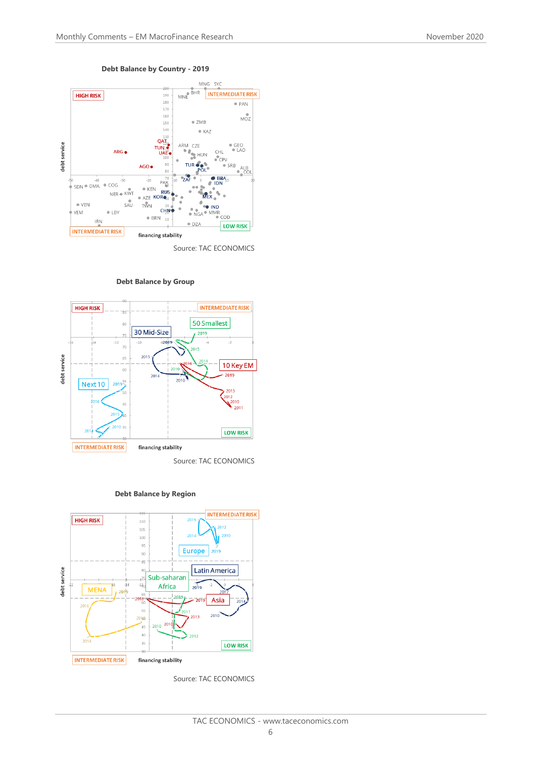

#### **Debt Balance by Country - 2019**

Source: TAC ECONOMICS



**Debt Balance by Group**





Source: TAC ECONOMICS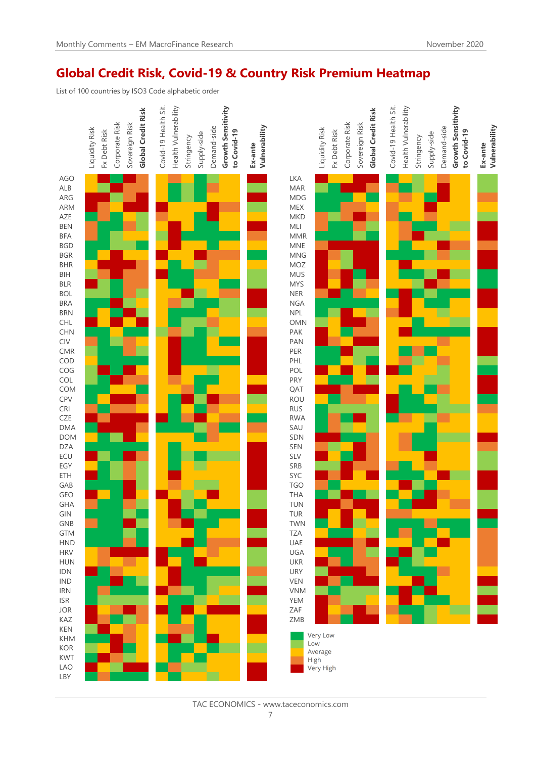## **Global Credit Risk, Covid-19 & Country Risk Premium Heatmap**

List of 100 countries by ISO3 Code alphabetic order

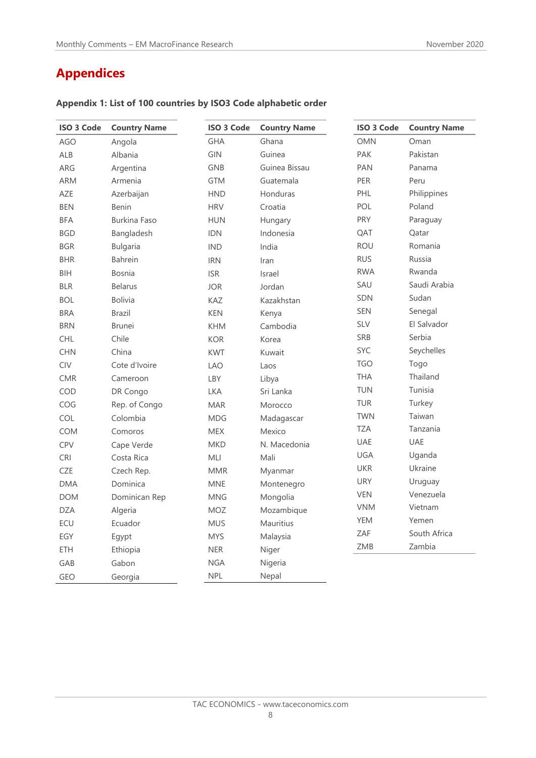# **Appendices**

| <b>ISO 3 Code</b> | <b>Country Name</b> | <b>ISO 3 Code</b> | <b>Country Name</b> | <b>ISO 3 Code</b> | <b>Country Name</b> |
|-------------------|---------------------|-------------------|---------------------|-------------------|---------------------|
| <b>AGO</b>        | Angola              | <b>GHA</b>        | Ghana               | <b>OMN</b>        | Oman                |
| ALB               | Albania             | <b>GIN</b>        | Guinea              | <b>PAK</b>        | Pakistan            |
| ARG               | Argentina           | <b>GNB</b>        | Guinea Bissau       | <b>PAN</b>        | Panama              |
| <b>ARM</b>        | Armenia             | <b>GTM</b>        | Guatemala           | <b>PER</b>        | Peru                |
| AZE               | Azerbaijan          | <b>HND</b>        | Honduras            | PHL               | Philippines         |
| <b>BEN</b>        | <b>Benin</b>        | <b>HRV</b>        | Croatia             | <b>POL</b>        | Poland              |
| <b>BFA</b>        | <b>Burkina Faso</b> | <b>HUN</b>        | Hungary             | <b>PRY</b>        | Paraguay            |
| <b>BGD</b>        | Bangladesh          | <b>IDN</b>        | Indonesia           | QAT               | Qatar               |
| <b>BGR</b>        | <b>Bulgaria</b>     | <b>IND</b>        | India               | <b>ROU</b>        | Romania             |
| <b>BHR</b>        | <b>Bahrein</b>      | <b>IRN</b>        | Iran                | <b>RUS</b>        | Russia              |
| <b>BIH</b>        | <b>Bosnia</b>       | <b>ISR</b>        | Israel              | <b>RWA</b>        | Rwanda              |
| <b>BLR</b>        | <b>Belarus</b>      | <b>JOR</b>        | Jordan              | SAU               | Saudi Arabia        |
| <b>BOL</b>        | <b>Bolivia</b>      | <b>KAZ</b>        | Kazakhstan          | <b>SDN</b>        | Sudan               |
| <b>BRA</b>        | <b>Brazil</b>       | <b>KEN</b>        | Kenya               | <b>SEN</b>        | Senegal             |
| <b>BRN</b>        | <b>Brunei</b>       | <b>KHM</b>        | Cambodia            | <b>SLV</b>        | El Salvador         |
| <b>CHL</b>        | Chile               | <b>KOR</b>        | Korea               | SRB               | Serbia              |
| <b>CHN</b>        | China               | <b>KWT</b>        | Kuwait              | <b>SYC</b>        | Seychelles          |
| CIV               | Cote d'Ivoire       | <b>LAO</b>        | Laos                | <b>TGO</b>        | Togo                |
| <b>CMR</b>        | Cameroon            | <b>LBY</b>        | Libya               | <b>THA</b>        | Thailand            |
| COD               | DR Congo            | <b>LKA</b>        | Sri Lanka           | <b>TUN</b>        | Tunisia             |
| COG               | Rep. of Congo       | <b>MAR</b>        | Morocco             | TUR               | Turkey              |
| COL               | Colombia            | <b>MDG</b>        | Madagascar          | <b>TWN</b>        | Taiwan              |
| <b>COM</b>        | Comoros             | <b>MEX</b>        | Mexico              | <b>TZA</b>        | Tanzania            |
| CPV               | Cape Verde          | <b>MKD</b>        | N. Macedonia        | <b>UAE</b>        | <b>UAE</b>          |
| <b>CRI</b>        | Costa Rica          | MLI               | Mali                | <b>UGA</b>        | Uganda              |
| <b>CZE</b>        | Czech Rep.          | <b>MMR</b>        | Myanmar             | <b>UKR</b>        | Ukraine             |
| <b>DMA</b>        | Dominica            | <b>MNE</b>        | Montenegro          | <b>URY</b>        | Uruguay             |
| <b>DOM</b>        | Dominican Rep       | <b>MNG</b>        | Mongolia            | <b>VEN</b>        | Venezuela           |
| <b>DZA</b>        | Algeria             | <b>MOZ</b>        | Mozambique          | <b>VNM</b>        | Vietnam             |
| ECU               | Ecuador             | <b>MUS</b>        | Mauritius           | YEM               | Yemen               |
| EGY               | Egypt               | <b>MYS</b>        | Malaysia            | <b>ZAF</b>        | South Africa        |
| <b>ETH</b>        | Ethiopia            | <b>NER</b>        | Niger               | ZMB               | Zambia              |
| GAB               | Gabon               | <b>NGA</b>        | Nigeria             |                   |                     |
| <b>GEO</b>        | Georgia             | <b>NPL</b>        | Nepal               |                   |                     |

### **Appendix 1: List of 100 countries by ISO3 Code alphabetic order**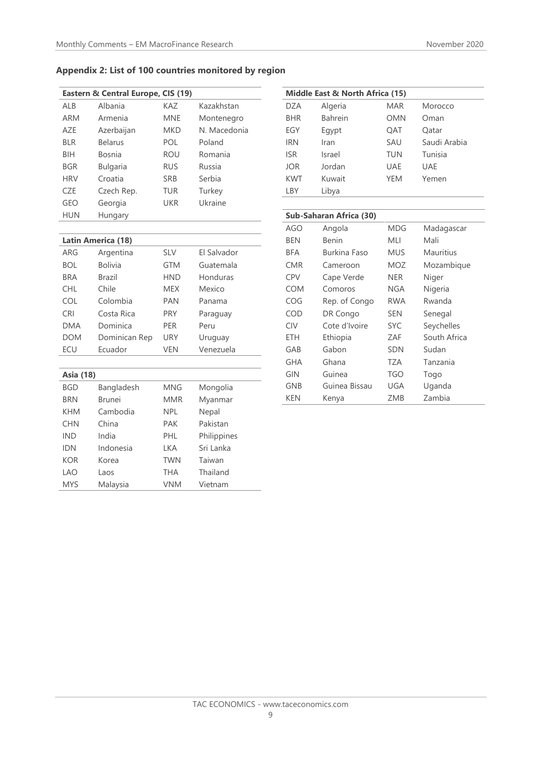### **Appendix 2: List of 100 countries monitored by region**

| Eastern & Central Europe, CIS (19) |                 |            |              |  |
|------------------------------------|-----------------|------------|--------------|--|
| ALB                                | Albania         | KAZ        | Kazakhstan   |  |
| <b>ARM</b>                         | Armenia         | <b>MNE</b> | Montenegro   |  |
| AZE                                | Azerbaijan      | MKD        | N. Macedonia |  |
| <b>BLR</b>                         | <b>Belarus</b>  | POL        | Poland       |  |
| BIH                                | Bosnia          | <b>ROU</b> | Romania      |  |
| <b>BGR</b>                         | <b>Bulgaria</b> | <b>RUS</b> | Russia       |  |
| <b>HRV</b>                         | Croatia         | <b>SRB</b> | Serbia       |  |
| CZE                                | Czech Rep.      | TUR        | Turkey       |  |
| GEO                                | Georgia         | <b>UKR</b> | Ukraine      |  |
| <b>HUN</b>                         | Hungary         |            |              |  |
|                                    |                 |            |              |  |

| Latin America (18) |               |            |                    |  |
|--------------------|---------------|------------|--------------------|--|
| ARG                | Argentina     | <b>SLV</b> | <b>FI Salvador</b> |  |
| <b>BOL</b>         | Bolivia       | <b>GTM</b> | Guatemala          |  |
| <b>BRA</b>         | Brazil        | <b>HND</b> | Honduras           |  |
| CHI.               | Chile         | <b>MEX</b> | Mexico             |  |
| COL.               | Colombia      | <b>PAN</b> | Panama             |  |
| <b>CRI</b>         | Costa Rica    | <b>PRY</b> | Paraguay           |  |
| <b>DMA</b>         | Dominica      | <b>PFR</b> | Peru               |  |
| DOM                | Dominican Rep | URY        | Uruguay            |  |
| ECU                | Ecuador       | <b>VEN</b> | Venezuela          |  |

| Asia (18)  |            |            |             |  |
|------------|------------|------------|-------------|--|
| <b>BGD</b> | Bangladesh | <b>MNG</b> | Mongolia    |  |
| <b>BRN</b> | Brunei     | <b>MMR</b> | Myanmar     |  |
| KHM        | Cambodia   | <b>NPL</b> | Nepal       |  |
| <b>CHN</b> | China      | PAK        | Pakistan    |  |
| <b>IND</b> | India      | PHL        | Philippines |  |
| IDN        | Indonesia  | LKA        | Sri Lanka   |  |
| KOR        | Korea      | <b>TWN</b> | Taiwan      |  |
| LAO        | Laos       | THA        | Thailand    |  |
| <b>MYS</b> | Malaysia   | VNM        | Vietnam     |  |

| Middle East & North Africa (15) |                |            |              |
|---------------------------------|----------------|------------|--------------|
| <b>DZA</b>                      | Algeria        | <b>MAR</b> | Morocco      |
| <b>BHR</b>                      | <b>Bahrein</b> | OMN        | Oman         |
| EGY                             | Egypt          | OAT        | Oatar        |
| <b>IRN</b>                      | Iran           | SAU        | Saudi Arabia |
| <b>ISR</b>                      | Israel         | TUN        | Tunisia      |
| <b>JOR</b>                      | Jordan         | UAE        | UAE          |
| <b>KWT</b>                      | Kuwait         | <b>YFM</b> | Yemen        |
| LBY                             | Libya          |            |              |
|                                 |                |            |              |
| Cuh-Saharan Africa (20)         |                |            |              |

| Sub-Sanaran Africa (30) |               |            |              |
|-------------------------|---------------|------------|--------------|
| <b>AGO</b>              | Angola        | MDG        | Madagascar   |
| BEN                     | Benin         | MLI        | Mali         |
| BFA                     | Burkina Faso  | <b>MUS</b> | Mauritius    |
| <b>CMR</b>              | Cameroon      | MOZ        | Mozambique   |
| <b>CPV</b>              | Cape Verde    | NER        | Niger        |
| <b>COM</b>              | Comoros       | NGA        | Nigeria      |
| COG                     | Rep. of Congo | RWA        | Rwanda       |
| COD                     | DR Congo      | <b>SEN</b> | Senegal      |
| <b>CIV</b>              | Cote d'Ivoire | <b>SYC</b> | Seychelles   |
| ETH                     | Ethiopia      | ZAF        | South Africa |
| GAB                     | Gabon         | <b>SDN</b> | Sudan        |
| GHA                     | Ghana         | TZA        | Tanzania     |
| <b>GIN</b>              | Guinea        | TGO        | Togo         |
| GNB                     | Guinea Bissau | UGA        | Uganda       |
| KEN                     | Kenya         | ZMB        | Zambia       |